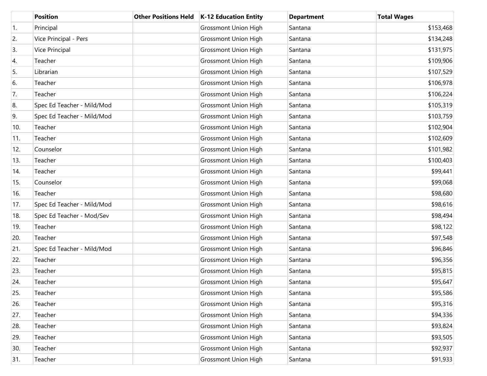|                  | <b>Position</b>            | <b>Other Positions Held</b> | K-12 Education Entity       | <b>Department</b> | <b>Total Wages</b> |
|------------------|----------------------------|-----------------------------|-----------------------------|-------------------|--------------------|
| $\overline{1}$ . | Principal                  |                             | <b>Grossmont Union High</b> | Santana           | \$153,468          |
| 2.               | Vice Principal - Pers      |                             | <b>Grossmont Union High</b> | Santana           | \$134,248          |
| 3.               | Vice Principal             |                             | <b>Grossmont Union High</b> | Santana           | \$131,975          |
| 4.               | Teacher                    |                             | <b>Grossmont Union High</b> | Santana           | \$109,906          |
| 5.               | Librarian                  |                             | <b>Grossmont Union High</b> | Santana           | \$107,529          |
| 6.               | Teacher                    |                             | <b>Grossmont Union High</b> | Santana           | \$106,978          |
| 7.               | Teacher                    |                             | <b>Grossmont Union High</b> | Santana           | \$106,224          |
| 8.               | Spec Ed Teacher - Mild/Mod |                             | <b>Grossmont Union High</b> | Santana           | \$105,319          |
| 9.               | Spec Ed Teacher - Mild/Mod |                             | <b>Grossmont Union High</b> | Santana           | \$103,759          |
| 10.              | Teacher                    |                             | <b>Grossmont Union High</b> | Santana           | \$102,904          |
| 11.              | Teacher                    |                             | <b>Grossmont Union High</b> | Santana           | \$102,609          |
| 12.              | Counselor                  |                             | <b>Grossmont Union High</b> | Santana           | \$101,982          |
| 13.              | Teacher                    |                             | <b>Grossmont Union High</b> | Santana           | \$100,403          |
| 14.              | Teacher                    |                             | <b>Grossmont Union High</b> | Santana           | \$99,441           |
| 15.              | Counselor                  |                             | <b>Grossmont Union High</b> | Santana           | \$99,068           |
| 16.              | Teacher                    |                             | <b>Grossmont Union High</b> | Santana           | \$98,680           |
| 17.              | Spec Ed Teacher - Mild/Mod |                             | <b>Grossmont Union High</b> | Santana           | \$98,616           |
| 18.              | Spec Ed Teacher - Mod/Sev  |                             | <b>Grossmont Union High</b> | Santana           | \$98,494           |
| 19.              | Teacher                    |                             | <b>Grossmont Union High</b> | Santana           | \$98,122           |
| 20.              | Teacher                    |                             | <b>Grossmont Union High</b> | Santana           | \$97,548           |
| 21.              | Spec Ed Teacher - Mild/Mod |                             | <b>Grossmont Union High</b> | Santana           | \$96,846           |
| 22.              | Teacher                    |                             | <b>Grossmont Union High</b> | Santana           | \$96,356           |
| 23.              | Teacher                    |                             | <b>Grossmont Union High</b> | Santana           | \$95,815           |
| 24.              | Teacher                    |                             | <b>Grossmont Union High</b> | Santana           | \$95,647           |
| 25.              | Teacher                    |                             | <b>Grossmont Union High</b> | Santana           | \$95,586           |
| 26.              | Teacher                    |                             | <b>Grossmont Union High</b> | Santana           | \$95,316           |
| 27.              | Teacher                    |                             | <b>Grossmont Union High</b> | Santana           | \$94,336           |
| 28.              | Teacher                    |                             | <b>Grossmont Union High</b> | Santana           | \$93,824           |
| 29.              | Teacher                    |                             | <b>Grossmont Union High</b> | Santana           | \$93,505           |
| 30.              | Teacher                    |                             | <b>Grossmont Union High</b> | Santana           | \$92,937           |
| 31.              | Teacher                    |                             | <b>Grossmont Union High</b> | Santana           | \$91,933           |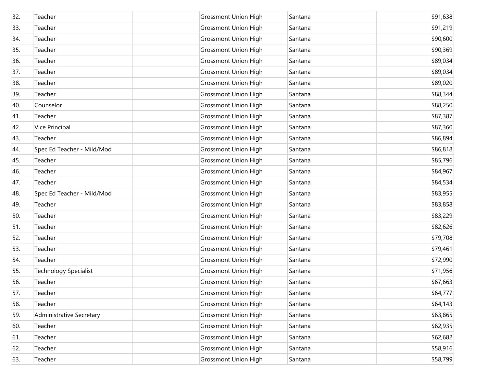| 32. | Teacher                         | <b>Grossmont Union High</b> | Santana | \$91,638 |
|-----|---------------------------------|-----------------------------|---------|----------|
| 33. | Teacher                         | <b>Grossmont Union High</b> | Santana | \$91,219 |
| 34. | Teacher                         | <b>Grossmont Union High</b> | Santana | \$90,600 |
| 35. | Teacher                         | <b>Grossmont Union High</b> | Santana | \$90,369 |
| 36. | Teacher                         | <b>Grossmont Union High</b> | Santana | \$89,034 |
| 37. | Teacher                         | <b>Grossmont Union High</b> | Santana | \$89,034 |
| 38. | Teacher                         | <b>Grossmont Union High</b> | Santana | \$89,020 |
| 39. | Teacher                         | <b>Grossmont Union High</b> | Santana | \$88,344 |
| 40. | Counselor                       | <b>Grossmont Union High</b> | Santana | \$88,250 |
| 41. | Teacher                         | <b>Grossmont Union High</b> | Santana | \$87,387 |
| 42. | <b>Vice Principal</b>           | <b>Grossmont Union High</b> | Santana | \$87,360 |
| 43. | Teacher                         | <b>Grossmont Union High</b> | Santana | \$86,894 |
| 44. | Spec Ed Teacher - Mild/Mod      | <b>Grossmont Union High</b> | Santana | \$86,818 |
| 45. | Teacher                         | <b>Grossmont Union High</b> | Santana | \$85,796 |
| 46. | Teacher                         | <b>Grossmont Union High</b> | Santana | \$84,967 |
| 47. | Teacher                         | <b>Grossmont Union High</b> | Santana | \$84,534 |
| 48. | Spec Ed Teacher - Mild/Mod      | <b>Grossmont Union High</b> | Santana | \$83,955 |
| 49. | Teacher                         | <b>Grossmont Union High</b> | Santana | \$83,858 |
| 50. | Teacher                         | <b>Grossmont Union High</b> | Santana | \$83,229 |
| 51. | Teacher                         | <b>Grossmont Union High</b> | Santana | \$82,626 |
| 52. | Teacher                         | <b>Grossmont Union High</b> | Santana | \$79,708 |
| 53. | Teacher                         | <b>Grossmont Union High</b> | Santana | \$79,461 |
| 54. | Teacher                         | <b>Grossmont Union High</b> | Santana | \$72,990 |
| 55. | <b>Technology Specialist</b>    | <b>Grossmont Union High</b> | Santana | \$71,956 |
| 56. | Teacher                         | <b>Grossmont Union High</b> | Santana | \$67,663 |
| 57. | Teacher                         | <b>Grossmont Union High</b> | Santana | \$64,777 |
| 58. | Teacher                         | <b>Grossmont Union High</b> | Santana | \$64,143 |
| 59. | <b>Administrative Secretary</b> | <b>Grossmont Union High</b> | Santana | \$63,865 |
| 60. | Teacher                         | <b>Grossmont Union High</b> | Santana | \$62,935 |
| 61. | Teacher                         | <b>Grossmont Union High</b> | Santana | \$62,682 |
| 62. | Teacher                         | <b>Grossmont Union High</b> | Santana | \$58,916 |
| 63. | Teacher                         | <b>Grossmont Union High</b> | Santana | \$58,799 |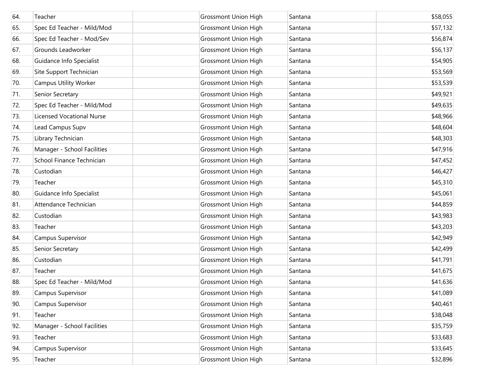| 64. | Teacher                          | <b>Grossmont Union High</b> | Santana | \$58,055 |
|-----|----------------------------------|-----------------------------|---------|----------|
| 65. | Spec Ed Teacher - Mild/Mod       | <b>Grossmont Union High</b> | Santana | \$57,132 |
| 66. | Spec Ed Teacher - Mod/Sev        | <b>Grossmont Union High</b> | Santana | \$56,874 |
| 67. | Grounds Leadworker               | <b>Grossmont Union High</b> | Santana | \$56,137 |
| 68. | Guidance Info Specialist         | <b>Grossmont Union High</b> | Santana | \$54,905 |
| 69. | Site Support Technician          | <b>Grossmont Union High</b> | Santana | \$53,569 |
| 70. | <b>Campus Utility Worker</b>     | <b>Grossmont Union High</b> | Santana | \$53,539 |
| 71. | Senior Secretary                 | <b>Grossmont Union High</b> | Santana | \$49,921 |
| 72. | Spec Ed Teacher - Mild/Mod       | <b>Grossmont Union High</b> | Santana | \$49,635 |
| 73. | <b>Licensed Vocational Nurse</b> | <b>Grossmont Union High</b> | Santana | \$48,966 |
| 74. | Lead Campus Supv                 | <b>Grossmont Union High</b> | Santana | \$48,604 |
| 75. | Library Technician               | <b>Grossmont Union High</b> | Santana | \$48,303 |
| 76. | Manager - School Facilities      | <b>Grossmont Union High</b> | Santana | \$47,916 |
| 77. | School Finance Technician        | <b>Grossmont Union High</b> | Santana | \$47,452 |
| 78. | Custodian                        | <b>Grossmont Union High</b> | Santana | \$46,427 |
| 79. | Teacher                          | <b>Grossmont Union High</b> | Santana | \$45,310 |
| 80. | Guidance Info Specialist         | <b>Grossmont Union High</b> | Santana | \$45,061 |
| 81. | Attendance Technician            | <b>Grossmont Union High</b> | Santana | \$44,859 |
| 82. | Custodian                        | <b>Grossmont Union High</b> | Santana | \$43,983 |
| 83. | Teacher                          | <b>Grossmont Union High</b> | Santana | \$43,203 |
| 84. | Campus Supervisor                | <b>Grossmont Union High</b> | Santana | \$42,949 |
| 85. | Senior Secretary                 | <b>Grossmont Union High</b> | Santana | \$42,499 |
| 86. | Custodian                        | <b>Grossmont Union High</b> | Santana | \$41,791 |
| 87. | Teacher                          | <b>Grossmont Union High</b> | Santana | \$41,675 |
| 88. | Spec Ed Teacher - Mild/Mod       | <b>Grossmont Union High</b> | Santana | \$41,636 |
| 89. | Campus Supervisor                | <b>Grossmont Union High</b> | Santana | \$41,089 |
| 90. | Campus Supervisor                | <b>Grossmont Union High</b> | Santana | \$40,461 |
| 91. | Teacher                          | <b>Grossmont Union High</b> | Santana | \$38,048 |
| 92. | Manager - School Facilities      | <b>Grossmont Union High</b> | Santana | \$35,759 |
| 93. | Teacher                          | <b>Grossmont Union High</b> | Santana | \$33,683 |
| 94. | Campus Supervisor                | <b>Grossmont Union High</b> | Santana | \$33,645 |
| 95. | Teacher                          | <b>Grossmont Union High</b> | Santana | \$32,896 |